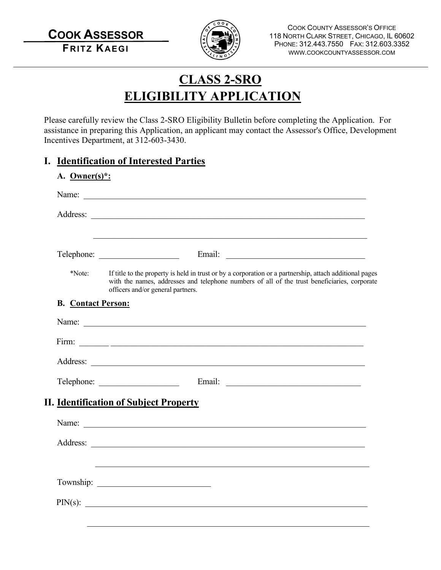**COOK ASSESSOR FRITZ KAEGI**



COOK COUNTY ASSESSOR'S OFFICE 118 NORTH CLARK STREET, CHICAGO, IL 60602 PHONE: 312.443.7550 FAX: 312.603.3352 WWW.COOKCOUNTYASSESSOR.COM

# **CLASS 2-SRO ELIGIBILITY APPLICATION**

Please carefully review the Class 2-SRO Eligibility Bulletin before completing the Application. For assistance in preparing this Application, an applicant may contact the Assessor's Office, Development Incentives Department, at 312-603-3430.

### **I. Identification of Interested Parties**

| *Note:                    | If title to the property is held in trust or by a corporation or a partnership, attach additional pages<br>with the names, addresses and telephone numbers of all of the trust beneficiaries, corporate<br>officers and/or general partners. |  |  |
|---------------------------|----------------------------------------------------------------------------------------------------------------------------------------------------------------------------------------------------------------------------------------------|--|--|
| <b>B.</b> Contact Person: |                                                                                                                                                                                                                                              |  |  |
|                           |                                                                                                                                                                                                                                              |  |  |
|                           |                                                                                                                                                                                                                                              |  |  |
|                           |                                                                                                                                                                                                                                              |  |  |
|                           |                                                                                                                                                                                                                                              |  |  |
|                           | <b>II.</b> Identification of Subject Property                                                                                                                                                                                                |  |  |
|                           |                                                                                                                                                                                                                                              |  |  |
|                           |                                                                                                                                                                                                                                              |  |  |
|                           |                                                                                                                                                                                                                                              |  |  |
|                           |                                                                                                                                                                                                                                              |  |  |
|                           |                                                                                                                                                                                                                                              |  |  |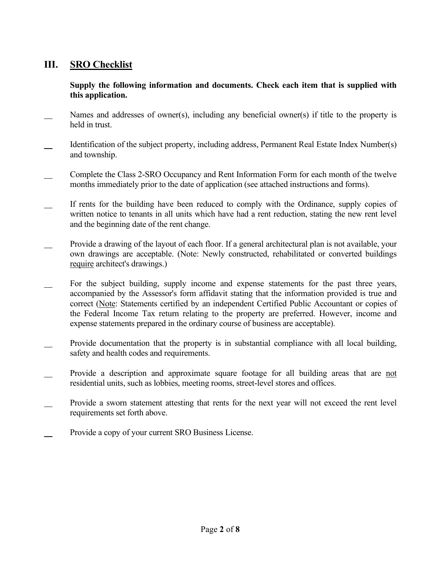## **III. SRO Checklist**

#### **Supply the following information and documents. Check each item that is supplied with this application.**

- Names and addresses of owner(s), including any beneficial owner(s) if title to the property is held in trust.
- Identification of the subject property, including address, Permanent Real Estate Index Number(s) and township.
- Complete the Class 2-SRO Occupancy and Rent Information Form for each month of the twelve months immediately prior to the date of application (see attached instructions and forms).
- If rents for the building have been reduced to comply with the Ordinance, supply copies of written notice to tenants in all units which have had a rent reduction, stating the new rent level and the beginning date of the rent change.
- Provide a drawing of the layout of each floor. If a general architectural plan is not available, your own drawings are acceptable. (Note: Newly constructed, rehabilitated or converted buildings require architect's drawings.)
- For the subject building, supply income and expense statements for the past three years, accompanied by the Assessor's form affidavit stating that the information provided is true and correct (Note: Statements certified by an independent Certified Public Accountant or copies of the Federal Income Tax return relating to the property are preferred. However, income and expense statements prepared in the ordinary course of business are acceptable).
- Provide documentation that the property is in substantial compliance with all local building, safety and health codes and requirements.
- Provide a description and approximate square footage for all building areas that are not residential units, such as lobbies, meeting rooms, street-level stores and offices.
- Provide a sworn statement attesting that rents for the next year will not exceed the rent level requirements set forth above.
- Provide a copy of your current SRO Business License.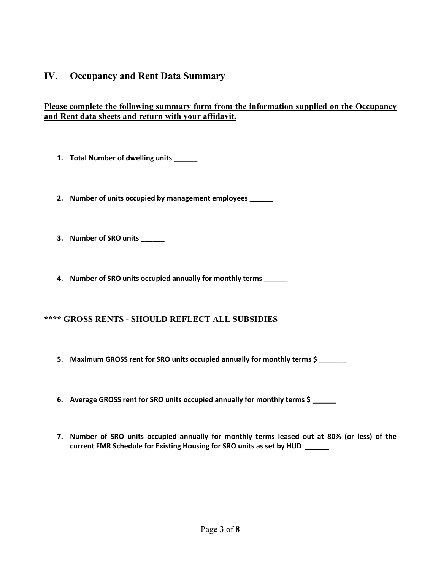### **IV. Occupancy and Rent Data Summary**

#### **Please complete the following summary form from the information supplied on the Occupancy and Rent data sheets and return with your affidavit.**

- **1. Total Number of dwelling units \_\_\_\_\_\_**
- **2. Number of units occupied by management employees \_\_\_\_\_\_**
- **3. Number of SRO units \_\_\_\_\_\_**
- **4. Number of SRO units occupied annually for monthly terms \_\_\_\_\_\_**

#### **\*\*\*\* GROSS RENTS - SHOULD REFLECT ALL SUBSIDIES**

- **5. Maximum GROSS rent for SRO units occupied annually for monthly terms \$ \_\_\_\_\_\_\_**
- **6. Average GROSS rent for SRO units occupied annually for monthly terms \$ \_\_\_\_\_\_**
- **7. Number of SRO units occupied annually for monthly terms leased out at 80% (or less) of the current FMR Schedule for Existing Housing for SRO units as set by HUD \_\_\_\_\_\_**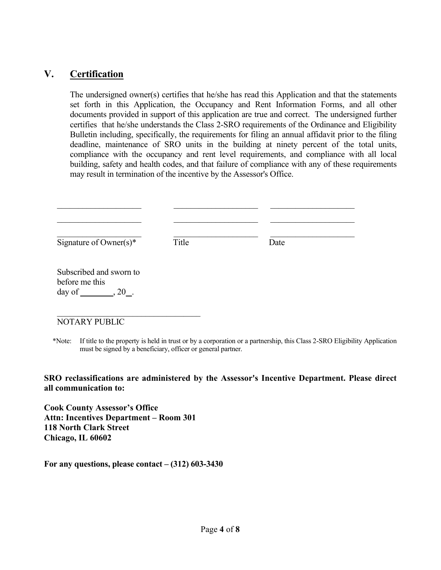### **V. Certification**

The undersigned owner(s) certifies that he/she has read this Application and that the statements set forth in this Application, the Occupancy and Rent Information Forms, and all other documents provided in support of this application are true and correct. The undersigned further certifies that he/she understands the Class 2-SRO requirements of the Ordinance and Eligibility Bulletin including, specifically, the requirements for filing an annual affidavit prior to the filing deadline, maintenance of SRO units in the building at ninety percent of the total units, compliance with the occupancy and rent level requirements, and compliance with all local building, safety and health codes, and that failure of compliance with any of these requirements may result in termination of the incentive by the Assessor's Office.

| Signature of Owner $(s)^*$                                                | Title | Date |  |
|---------------------------------------------------------------------------|-------|------|--|
| Subscribed and sworn to<br>before me this<br>day of $\qquad \qquad .20$ . |       |      |  |
| <b>NOTARY PUBLIC</b>                                                      |       |      |  |

 \*Note: If title to the property is held in trust or by a corporation or a partnership, this Class 2-SRO Eligibility Application must be signed by a beneficiary, officer or general partner.

#### **SRO reclassifications are administered by the Assessor's Incentive Department. Please direct all communication to:**

**Cook County Assessor's Office Attn: Incentives Department – Room 301 118 North Clark Street Chicago, IL 60602** 

**For any questions, please contact – (312) 603-3430**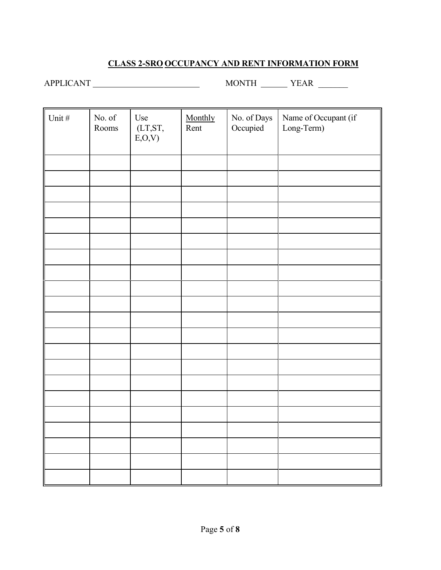## **CLASS 2-SRO OCCUPANCY AND RENT INFORMATION FORM**

APPLICANT MONTH YEAR \_\_\_\_\_\_\_

| Unit # | No. of $\,$<br>Rooms | Use<br>$(LT,ST,$<br>E, O, V | Monthly<br>Rent | No. of Days<br>Occupied | Name of Occupant (if<br>Long-Term) |
|--------|----------------------|-----------------------------|-----------------|-------------------------|------------------------------------|
|        |                      |                             |                 |                         |                                    |
|        |                      |                             |                 |                         |                                    |
|        |                      |                             |                 |                         |                                    |
|        |                      |                             |                 |                         |                                    |
|        |                      |                             |                 |                         |                                    |
|        |                      |                             |                 |                         |                                    |
|        |                      |                             |                 |                         |                                    |
|        |                      |                             |                 |                         |                                    |
|        |                      |                             |                 |                         |                                    |
|        |                      |                             |                 |                         |                                    |
|        |                      |                             |                 |                         |                                    |
|        |                      |                             |                 |                         |                                    |
|        |                      |                             |                 |                         |                                    |
|        |                      |                             |                 |                         |                                    |
|        |                      |                             |                 |                         |                                    |
|        |                      |                             |                 |                         |                                    |
|        |                      |                             |                 |                         |                                    |
|        |                      |                             |                 |                         |                                    |
|        |                      |                             |                 |                         |                                    |
|        |                      |                             |                 |                         |                                    |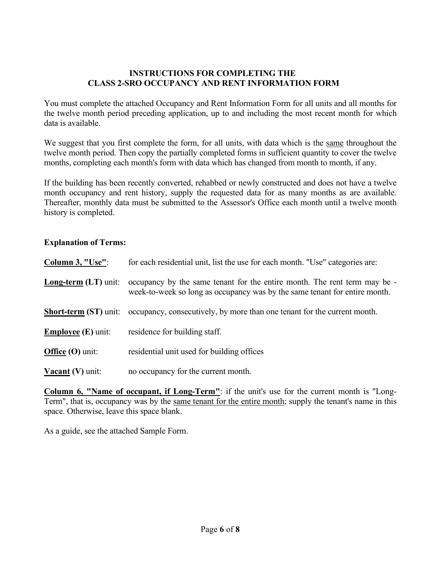#### **INSTRUCTIONS FOR COMPLETING THE CLASS 2-SRO OCCUPANCY AND RENT INFORMATION FORM**

You must complete the attached Occupancy and Rent Information Form for all units and all months for the twelve month period preceding application, up to and including the most recent month for which data is available.

We suggest that you first complete the form, for all units, with data which is the same throughout the twelve month period. Then copy the partially completed forms in sufficient quantity to cover the twelve months, completing each month's form with data which has changed from month to month, if any.

If the building has been recently converted, rehabbed or newly constructed and does not have a twelve month occupancy and rent history, supply the requested data for as many months as are available. Thereafter, monthly data must be submitted to the Assessor's Office each month until a twelve month history is completed.

#### **Explanation of Terms:**

| Column 3, "Use":             | for each residential unit, list the use for each month. "Use" categories are:                                                                           |
|------------------------------|---------------------------------------------------------------------------------------------------------------------------------------------------------|
| <b>Long-term (LT)</b> unit:  | occupancy by the same tenant for the entire month. The rent term may be -<br>week-to-week so long as occupancy was by the same tenant for entire month. |
| <b>Short-term (ST) unit:</b> | occupancy, consecutively, by more than one tenant for the current month.                                                                                |
| <b>Employee (E)</b> unit:    | residence for building staff.                                                                                                                           |
| Office $(O)$ unit:           | residential unit used for building offices                                                                                                              |
| <b>Vacant</b> (V) unit:      | no occupancy for the current month.                                                                                                                     |

**Column 6, "Name of occupant, if Long-Term"**: if the unit's use for the current month is "Long-Term", that is, occupancy was by the same tenant for the entire month; supply the tenant's name in this space. Otherwise, leave this space blank.

As a guide, see the attached Sample Form.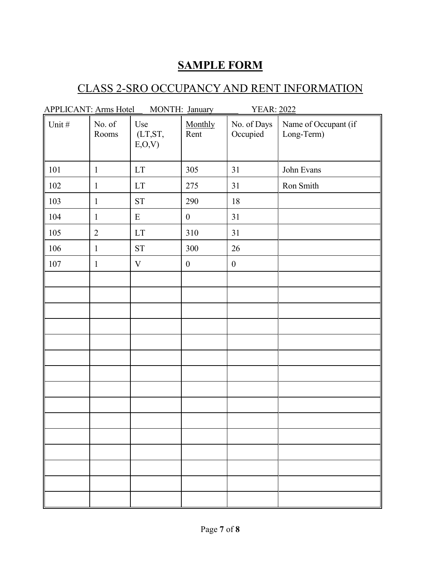## **SAMPLE FORM**

## CLASS 2-SRO OCCUPANCY AND RENT INFORMATION

| APPLICANT: Arms Hotel |                 |                            | MONTH: January   | <b>YEAR: 2022</b>       |                                    |
|-----------------------|-----------------|----------------------------|------------------|-------------------------|------------------------------------|
| Unit#                 | No. of<br>Rooms | Use<br>(LT,ST,<br>E, O, V  | Monthly<br>Rent  | No. of Days<br>Occupied | Name of Occupant (if<br>Long-Term) |
| 101                   | $\mathbf{1}$    | $\mathop{\rm LT}\nolimits$ | 305              | 31                      | John Evans                         |
| 102                   | $\mathbf{1}$    | $\mathop{\rm LT}\nolimits$ | 275              | 31                      | Ron Smith                          |
| 103                   | $\mathbf{1}$    | ${\cal S}{\cal T}$         | 290              | 18                      |                                    |
| 104                   | $\mathbf{1}$    | ${\bf E}$                  | $\boldsymbol{0}$ | 31                      |                                    |
| 105                   | $\overline{2}$  | $\mathop{\rm LT}\nolimits$ | 310              | 31                      |                                    |
| 106                   | $\mathbf{1}$    | ${\cal S}{\cal T}$         | 300              | 26                      |                                    |
| $107\,$               | $\mathbf{1}$    | $\ensuremath{\mathbf{V}}$  | $\boldsymbol{0}$ | $\boldsymbol{0}$        |                                    |
|                       |                 |                            |                  |                         |                                    |
|                       |                 |                            |                  |                         |                                    |
|                       |                 |                            |                  |                         |                                    |
|                       |                 |                            |                  |                         |                                    |
|                       |                 |                            |                  |                         |                                    |
|                       |                 |                            |                  |                         |                                    |
|                       |                 |                            |                  |                         |                                    |
|                       |                 |                            |                  |                         |                                    |
|                       |                 |                            |                  |                         |                                    |
|                       |                 |                            |                  |                         |                                    |
|                       |                 |                            |                  |                         |                                    |
|                       |                 |                            |                  |                         |                                    |
|                       |                 |                            |                  |                         |                                    |
|                       |                 |                            |                  |                         |                                    |
|                       |                 |                            |                  |                         |                                    |